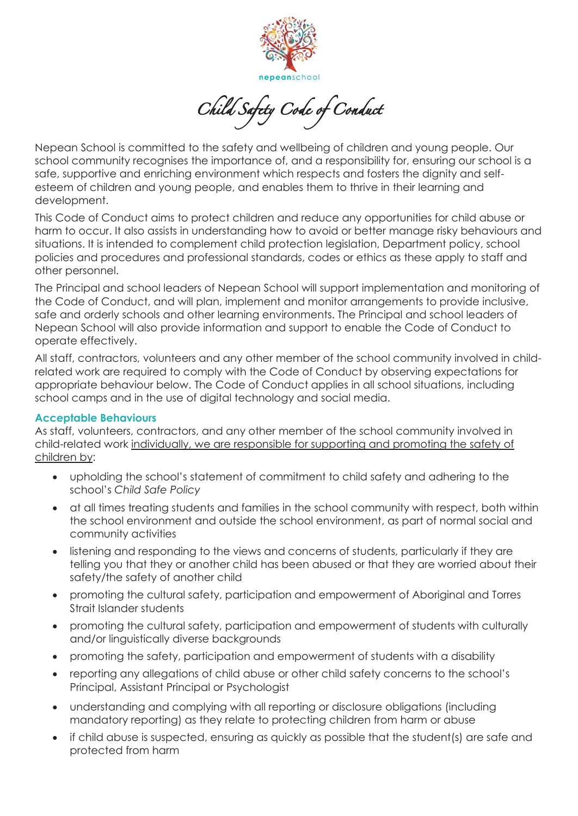

Child Safety Code of Conduct

Nepean School is committed to the safety and wellbeing of children and young people. Our school community recognises the importance of, and a responsibility for, ensuring our school is a safe, supportive and enriching environment which respects and fosters the dignity and selfesteem of children and young people, and enables them to thrive in their learning and development.

This Code of Conduct aims to protect children and reduce any opportunities for child abuse or harm to occur. It also assists in understanding how to avoid or better manage risky behaviours and situations. It is intended to complement child protection legislation, Department policy, school policies and procedures and professional standards, codes or ethics as these apply to staff and other personnel.

The Principal and school leaders of Nepean School will support implementation and monitoring of the Code of Conduct, and will plan, implement and monitor arrangements to provide inclusive, safe and orderly schools and other learning environments. The Principal and school leaders of Nepean School will also provide information and support to enable the Code of Conduct to operate effectively.

All staff, contractors, volunteers and any other member of the school community involved in childrelated work are required to comply with the Code of Conduct by observing expectations for appropriate behaviour below. The Code of Conduct applies in all school situations, including school camps and in the use of digital technology and social media.

## **Acceptable Behaviours**

As staff, volunteers, contractors, and any other member of the school community involved in child-related work individually, we are responsible for supporting and promoting the safety of children by:

- upholding the school's statement of commitment to child safety and adhering to the school's *Child Safe Policy*
- at all times treating students and families in the school community with respect, both within the school environment and outside the school environment, as part of normal social and community activities
- listening and responding to the views and concerns of students, particularly if they are telling you that they or another child has been abused or that they are worried about their safety/the safety of another child
- promoting the cultural safety, participation and empowerment of Aboriginal and Torres Strait Islander students
- promoting the cultural safety, participation and empowerment of students with culturally and/or linguistically diverse backgrounds
- promoting the safety, participation and empowerment of students with a disability
- reporting any allegations of child abuse or other child safety concerns to the school's Principal, Assistant Principal or Psychologist
- understanding and complying with all reporting or disclosure obligations (including mandatory reporting) as they relate to protecting children from harm or abuse
- if child abuse is suspected, ensuring as quickly as possible that the student(s) are safe and protected from harm